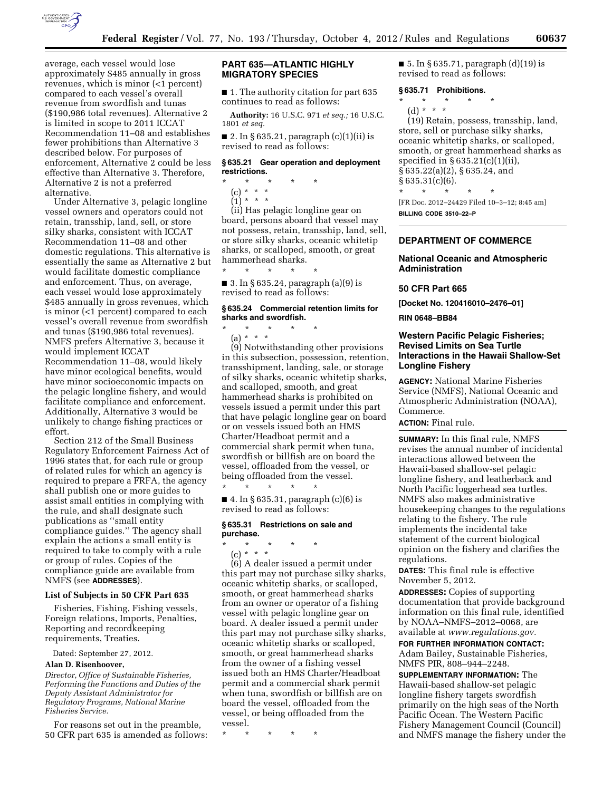

average, each vessel would lose approximately \$485 annually in gross revenues, which is minor (<1 percent) compared to each vessel's overall revenue from swordfish and tunas (\$190,986 total revenues). Alternative 2 is limited in scope to 2011 ICCAT Recommendation 11–08 and establishes fewer prohibitions than Alternative 3 described below. For purposes of enforcement, Alternative 2 could be less effective than Alternative 3. Therefore, Alternative 2 is not a preferred

alternative. Under Alternative 3, pelagic longline vessel owners and operators could not retain, transship, land, sell, or store silky sharks, consistent with ICCAT Recommendation 11–08 and other domestic regulations. This alternative is essentially the same as Alternative 2 but would facilitate domestic compliance and enforcement. Thus, on average, each vessel would lose approximately \$485 annually in gross revenues, which is minor (<1 percent) compared to each vessel's overall revenue from swordfish and tunas (\$190,986 total revenues). NMFS prefers Alternative 3, because it would implement ICCAT Recommendation 11–08, would likely have minor ecological benefits, would have minor socioeconomic impacts on the pelagic longline fishery, and would facilitate compliance and enforcement. Additionally, Alternative 3 would be unlikely to change fishing practices or effort.

Section 212 of the Small Business Regulatory Enforcement Fairness Act of 1996 states that, for each rule or group of related rules for which an agency is required to prepare a FRFA, the agency shall publish one or more guides to assist small entities in complying with the rule, and shall designate such publications as ''small entity compliance guides.'' The agency shall explain the actions a small entity is required to take to comply with a rule or group of rules. Copies of the compliance guide are available from NMFS (see **ADDRESSES**).

## **List of Subjects in 50 CFR Part 635**

Fisheries, Fishing, Fishing vessels, Foreign relations, Imports, Penalties, Reporting and recordkeeping requirements, Treaties.

Dated: September 27, 2012.

### **Alan D. Risenhoover,**

*Director, Office of Sustainable Fisheries, Performing the Functions and Duties of the Deputy Assistant Administrator for Regulatory Programs, National Marine Fisheries Service.* 

For reasons set out in the preamble, 50 CFR part 635 is amended as follows:

# **PART 635—ATLANTIC HIGHLY MIGRATORY SPECIES**

■ 1. The authority citation for part 635 continues to read as follows:

**Authority:** 16 U.S.C. 971 *et seq.;* 16 U.S.C. 1801 *et seq.* 

■ 2. In § 635.21, paragraph  $(c)(1)(ii)$  is revised to read as follows:

## **§ 635.21 Gear operation and deployment restrictions.**

- \* \* \* \* \*
- (c) \* \* \*
- $(1) * * * *$

(ii) Has pelagic longline gear on board, persons aboard that vessel may not possess, retain, transship, land, sell, or store silky sharks, oceanic whitetip sharks, or scalloped, smooth, or great hammerhead sharks.

■ 3. In § 635.24, paragraph (a)(9) is revised to read as follows:

#### **§ 635.24 Commercial retention limits for sharks and swordfish.**

\* \* \* \* \*

\* \* \* \* \*

(a) \* \* \*

(9) Notwithstanding other provisions in this subsection, possession, retention, transshipment, landing, sale, or storage of silky sharks, oceanic whitetip sharks, and scalloped, smooth, and great hammerhead sharks is prohibited on vessels issued a permit under this part that have pelagic longline gear on board or on vessels issued both an HMS Charter/Headboat permit and a commercial shark permit when tuna, swordfish or billfish are on board the vessel, offloaded from the vessel, or being offloaded from the vessel. \* \* \* \* \*

■ 4. In § 635.31, paragraph (c)(6) is revised to read as follows:

# **§ 635.31 Restrictions on sale and purchase.**

- \* \* \* \* \*
	- (c) \* \* \*

(6) A dealer issued a permit under this part may not purchase silky sharks, oceanic whitetip sharks, or scalloped, smooth, or great hammerhead sharks from an owner or operator of a fishing vessel with pelagic longline gear on board. A dealer issued a permit under this part may not purchase silky sharks, oceanic whitetip sharks or scalloped, smooth, or great hammerhead sharks from the owner of a fishing vessel issued both an HMS Charter/Headboat permit and a commercial shark permit when tuna, swordfish or billfish are on board the vessel, offloaded from the vessel, or being offloaded from the vessel.

\* \* \* \* \*

■ 5. In § 635.71, paragraph (d)(19) is revised to read as follows:

## **§ 635.71 Prohibitions.**

- \* \* \* \* \*
	- (d) \* \* \*

(19) Retain, possess, transship, land, store, sell or purchase silky sharks, oceanic whitetip sharks, or scalloped, smooth, or great hammerhead sharks as specified in § 635.21(c)(1)(ii), § 635.22(a)(2), § 635.24, and  $§ 635.31(c)(6).$ \* \* \* \* \*

[FR Doc. 2012–24429 Filed 10–3–12; 8:45 am] **BILLING CODE 3510–22–P** 

# **DEPARTMENT OF COMMERCE**

## **National Oceanic and Atmospheric Administration**

#### **50 CFR Part 665**

**[Docket No. 120416010–2476–01]** 

**RIN 0648–BB84** 

# **Western Pacific Pelagic Fisheries; Revised Limits on Sea Turtle Interactions in the Hawaii Shallow-Set Longline Fishery**

**AGENCY:** National Marine Fisheries Service (NMFS), National Oceanic and Atmospheric Administration (NOAA), Commerce.

# **ACTION:** Final rule.

**SUMMARY:** In this final rule, NMFS revises the annual number of incidental interactions allowed between the Hawaii-based shallow-set pelagic longline fishery, and leatherback and North Pacific loggerhead sea turtles. NMFS also makes administrative housekeeping changes to the regulations relating to the fishery. The rule implements the incidental take statement of the current biological opinion on the fishery and clarifies the regulations.

**DATES:** This final rule is effective November 5, 2012.

**ADDRESSES:** Copies of supporting documentation that provide background information on this final rule, identified by NOAA–NMFS–2012–0068, are available at *[www.regulations.gov.](http://www.regulations.gov)* 

**FOR FURTHER INFORMATION CONTACT:**  Adam Bailey, Sustainable Fisheries, NMFS PIR, 808–944–2248.

**SUPPLEMENTARY INFORMATION:** The Hawaii-based shallow-set pelagic longline fishery targets swordfish primarily on the high seas of the North Pacific Ocean. The Western Pacific Fishery Management Council (Council) and NMFS manage the fishery under the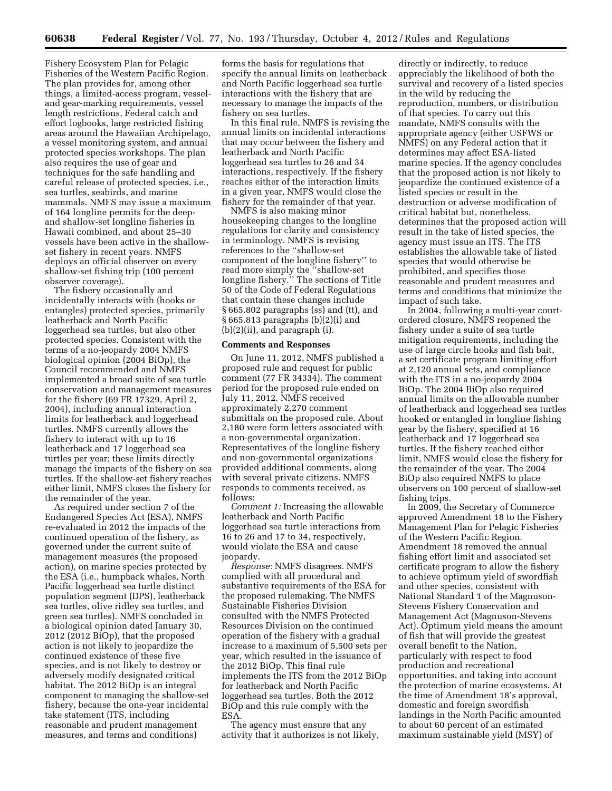Fishery Ecosystem Plan for Pelagic Fisheries of the Western Pacific Region. The plan provides for, among other things, a limited-access program, vesseland gear-marking requirements, vessel length restrictions, Federal catch and effort logbooks, large restricted fishing areas around the Hawaiian Archipelago, a vessel monitoring system, and annual protected species workshops. The plan also requires the use of gear and techniques for the safe handling and careful release of protected species, i.e., sea turtles, seabirds, and marine mammals. NMFS may issue a maximum of 164 longline permits for the deepand shallow-set longline fisheries in Hawaii combined, and about 25–30 vessels have been active in the shallowset fishery in recent years. NMFS deploys an official observer on every shallow-set fishing trip (100 percent observer coverage).

The fishery occasionally and incidentally interacts with (hooks or entangles) protected species, primarily leatherback and North Pacific loggerhead sea turtles, but also other protected species. Consistent with the terms of a no-jeopardy 2004 NMFS biological opinion (2004 BiOp), the Council recommended and NMFS implemented a broad suite of sea turtle conservation and management measures for the fishery (69 FR 17329, April 2, 2004), including annual interaction limits for leatherback and loggerhead turtles. NMFS currently allows the fishery to interact with up to 16 leatherback and 17 loggerhead sea turtles per year; these limits directly manage the impacts of the fishery on sea turtles. If the shallow-set fishery reaches either limit, NMFS closes the fishery for the remainder of the year.

As required under section 7 of the Endangered Species Act (ESA), NMFS re-evaluated in 2012 the impacts of the continued operation of the fishery, as governed under the current suite of management measures (the proposed action), on marine species protected by the ESA (i.e., humpback whales, North Pacific loggerhead sea turtle distinct population segment (DPS), leatherback sea turtles, olive ridley sea turtles, and green sea turtles). NMFS concluded in a biological opinion dated January 30, 2012 (2012 BiOp), that the proposed action is not likely to jeopardize the continued existence of these five species, and is not likely to destroy or adversely modify designated critical habitat. The 2012 BiOp is an integral component to managing the shallow-set fishery, because the one-year incidental take statement (ITS, including reasonable and prudent management measures, and terms and conditions)

forms the basis for regulations that specify the annual limits on leatherback and North Pacific loggerhead sea turtle interactions with the fishery that are necessary to manage the impacts of the fishery on sea turtles.

In this final rule, NMFS is revising the annual limits on incidental interactions that may occur between the fishery and leatherback and North Pacific loggerhead sea turtles to 26 and 34 interactions, respectively. If the fishery reaches either of the interaction limits in a given year, NMFS would close the fishery for the remainder of that year.

NMFS is also making minor housekeeping changes to the longline regulations for clarity and consistency in terminology. NMFS is revising references to the ''shallow-set component of the longline fishery'' to read more simply the ''shallow-set longline fishery.'' The sections of Title 50 of the Code of Federal Regulations that contain these changes include § 665.802 paragraphs (ss) and (tt), and § 665.813 paragraphs (b)(2)(i) and (b)(2)(ii), and paragraph (i).

## **Comments and Responses**

On June 11, 2012, NMFS published a proposed rule and request for public comment (77 FR 34334). The comment period for the proposed rule ended on July 11, 2012. NMFS received approximately 2,270 comment submittals on the proposed rule. About 2,180 were form letters associated with a non-governmental organization. Representatives of the longline fishery and non-governmental organizations provided additional comments, along with several private citizens. NMFS responds to comments received, as follows:

*Comment 1:* Increasing the allowable leatherback and North Pacific loggerhead sea turtle interactions from 16 to 26 and 17 to 34, respectively, would violate the ESA and cause jeopardy.

*Response:* NMFS disagrees. NMFS complied with all procedural and substantive requirements of the ESA for the proposed rulemaking. The NMFS Sustainable Fisheries Division consulted with the NMFS Protected Resources Division on the continued operation of the fishery with a gradual increase to a maximum of 5,500 sets per year, which resulted in the issuance of the 2012 BiOp. This final rule implements the ITS from the 2012 BiOp for leatherback and North Pacific loggerhead sea turtles. Both the 2012 BiOp and this rule comply with the ESA.

The agency must ensure that any activity that it authorizes is not likely,

directly or indirectly, to reduce appreciably the likelihood of both the survival and recovery of a listed species in the wild by reducing the reproduction, numbers, or distribution of that species. To carry out this mandate, NMFS consults with the appropriate agency (either USFWS or NMFS) on any Federal action that it determines may affect ESA-listed marine species. If the agency concludes that the proposed action is not likely to jeopardize the continued existence of a listed species or result in the destruction or adverse modification of critical habitat but, nonetheless, determines that the proposed action will result in the take of listed species, the agency must issue an ITS. The ITS establishes the allowable take of listed species that would otherwise be prohibited, and specifies those reasonable and prudent measures and terms and conditions that minimize the impact of such take.

In 2004, following a multi-year courtordered closure, NMFS reopened the fishery under a suite of sea turtle mitigation requirements, including the use of large circle hooks and fish bait, a set certificate program limiting effort at 2,120 annual sets, and compliance with the ITS in a no-jeopardy 2004 BiOp. The 2004 BiOp also required annual limits on the allowable number of leatherback and loggerhead sea turtles hooked or entangled in longline fishing gear by the fishery, specified at 16 leatherback and 17 loggerhead sea turtles. If the fishery reached either limit, NMFS would close the fishery for the remainder of the year. The 2004 BiOp also required NMFS to place observers on 100 percent of shallow-set fishing trips.

In 2009, the Secretary of Commerce approved Amendment 18 to the Fishery Management Plan for Pelagic Fisheries of the Western Pacific Region. Amendment 18 removed the annual fishing effort limit and associated set certificate program to allow the fishery to achieve optimum yield of swordfish and other species, consistent with National Standard 1 of the Magnuson-Stevens Fishery Conservation and Management Act (Magnuson-Stevens Act). Optimum yield means the amount of fish that will provide the greatest overall benefit to the Nation, particularly with respect to food production and recreational opportunities, and taking into account the protection of marine ecosystems. At the time of Amendment 18's approval, domestic and foreign swordfish landings in the North Pacific amounted to about 60 percent of an estimated maximum sustainable yield (MSY) of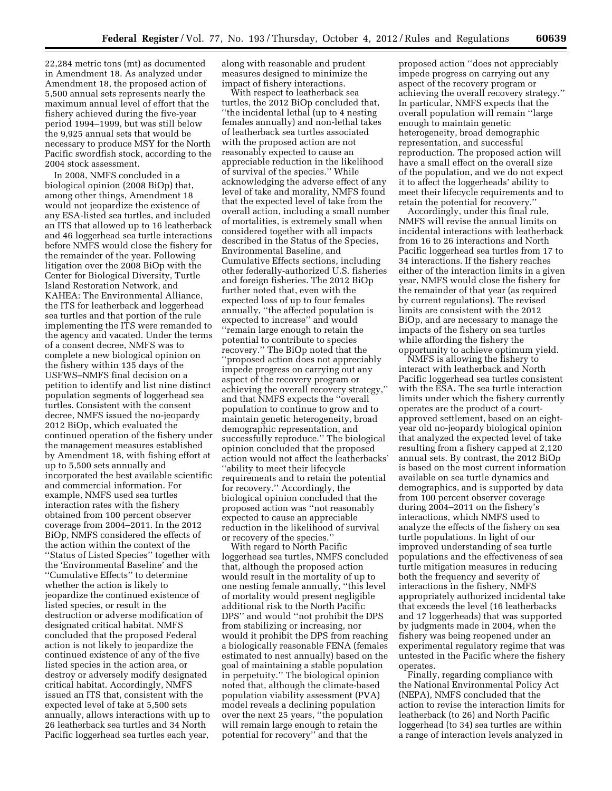22,284 metric tons (mt) as documented in Amendment 18. As analyzed under Amendment 18, the proposed action of 5,500 annual sets represents nearly the maximum annual level of effort that the fishery achieved during the five-year period 1994–1999, but was still below the 9,925 annual sets that would be necessary to produce MSY for the North Pacific swordfish stock, according to the 2004 stock assessment.

In 2008, NMFS concluded in a biological opinion (2008 BiOp) that, among other things, Amendment 18 would not jeopardize the existence of any ESA-listed sea turtles, and included an ITS that allowed up to 16 leatherback and 46 loggerhead sea turtle interactions before NMFS would close the fishery for the remainder of the year. Following litigation over the 2008 BiOp with the Center for Biological Diversity, Turtle Island Restoration Network, and KAHEA: The Environmental Alliance, the ITS for leatherback and loggerhead sea turtles and that portion of the rule implementing the ITS were remanded to the agency and vacated. Under the terms of a consent decree, NMFS was to complete a new biological opinion on the fishery within 135 days of the USFWS–NMFS final decision on a petition to identify and list nine distinct population segments of loggerhead sea turtles. Consistent with the consent decree, NMFS issued the no-jeopardy 2012 BiOp, which evaluated the continued operation of the fishery under the management measures established by Amendment 18, with fishing effort at up to 5,500 sets annually and incorporated the best available scientific and commercial information. For example, NMFS used sea turtles interaction rates with the fishery obtained from 100 percent observer coverage from 2004–2011. In the 2012 BiOp, NMFS considered the effects of the action within the context of the ''Status of Listed Species'' together with the 'Environmental Baseline' and the ''Cumulative Effects'' to determine whether the action is likely to jeopardize the continued existence of listed species, or result in the destruction or adverse modification of designated critical habitat. NMFS concluded that the proposed Federal action is not likely to jeopardize the continued existence of any of the five listed species in the action area, or destroy or adversely modify designated critical habitat. Accordingly, NMFS issued an ITS that, consistent with the expected level of take at 5,500 sets annually, allows interactions with up to 26 leatherback sea turtles and 34 North Pacific loggerhead sea turtles each year,

along with reasonable and prudent measures designed to minimize the impact of fishery interactions.

With respect to leatherback sea turtles, the 2012 BiOp concluded that, ''the incidental lethal (up to 4 nesting females annually) and non-lethal takes of leatherback sea turtles associated with the proposed action are not reasonably expected to cause an appreciable reduction in the likelihood of survival of the species.'' While acknowledging the adverse effect of any level of take and morality, NMFS found that the expected level of take from the overall action, including a small number of mortalities, is extremely small when considered together with all impacts described in the Status of the Species, Environmental Baseline, and Cumulative Effects sections, including other federally-authorized U.S. fisheries and foreign fisheries. The 2012 BiOp further noted that, even with the expected loss of up to four females annually, ''the affected population is expected to increase'' and would

''remain large enough to retain the potential to contribute to species recovery.'' The BiOp noted that the ''proposed action does not appreciably impede progress on carrying out any aspect of the recovery program or achieving the overall recovery strategy,'' and that NMFS expects the ''overall population to continue to grow and to maintain genetic heterogeneity, broad demographic representation, and successfully reproduce.'' The biological opinion concluded that the proposed action would not affect the leatherbacks' ''ability to meet their lifecycle requirements and to retain the potential for recovery.'' Accordingly, the biological opinion concluded that the proposed action was ''not reasonably expected to cause an appreciable reduction in the likelihood of survival or recovery of the species.''

With regard to North Pacific loggerhead sea turtles, NMFS concluded that, although the proposed action would result in the mortality of up to one nesting female annually, ''this level of mortality would present negligible additional risk to the North Pacific DPS'' and would ''not prohibit the DPS from stabilizing or increasing, nor would it prohibit the DPS from reaching a biologically reasonable FENA (females estimated to nest annually) based on the goal of maintaining a stable population in perpetuity.'' The biological opinion noted that, although the climate-based population viability assessment (PVA) model reveals a declining population over the next 25 years, ''the population will remain large enough to retain the potential for recovery'' and that the

proposed action ''does not appreciably impede progress on carrying out any aspect of the recovery program or achieving the overall recovery strategy.'' In particular, NMFS expects that the overall population will remain ''large enough to maintain genetic heterogeneity, broad demographic representation, and successful reproduction. The proposed action will have a small effect on the overall size of the population, and we do not expect it to affect the loggerheads' ability to meet their lifecycle requirements and to retain the potential for recovery.''

Accordingly, under this final rule, NMFS will revise the annual limits on incidental interactions with leatherback from 16 to 26 interactions and North Pacific loggerhead sea turtles from 17 to 34 interactions. If the fishery reaches either of the interaction limits in a given year, NMFS would close the fishery for the remainder of that year (as required by current regulations). The revised limits are consistent with the 2012 BiOp, and are necessary to manage the impacts of the fishery on sea turtles while affording the fishery the opportunity to achieve optimum yield.

NMFS is allowing the fishery to interact with leatherback and North Pacific loggerhead sea turtles consistent with the ESA. The sea turtle interaction limits under which the fishery currently operates are the product of a courtapproved settlement, based on an eightyear old no-jeopardy biological opinion that analyzed the expected level of take resulting from a fishery capped at 2,120 annual sets. By contrast, the 2012 BiOp is based on the most current information available on sea turtle dynamics and demographics, and is supported by data from 100 percent observer coverage during 2004–2011 on the fishery's interactions, which NMFS used to analyze the effects of the fishery on sea turtle populations. In light of our improved understanding of sea turtle populations and the effectiveness of sea turtle mitigation measures in reducing both the frequency and severity of interactions in the fishery, NMFS appropriately authorized incidental take that exceeds the level (16 leatherbacks and 17 loggerheads) that was supported by judgments made in 2004, when the fishery was being reopened under an experimental regulatory regime that was untested in the Pacific where the fishery operates.

Finally, regarding compliance with the National Environmental Policy Act (NEPA), NMFS concluded that the action to revise the interaction limits for leatherback (to 26) and North Pacific loggerhead (to 34) sea turtles are within a range of interaction levels analyzed in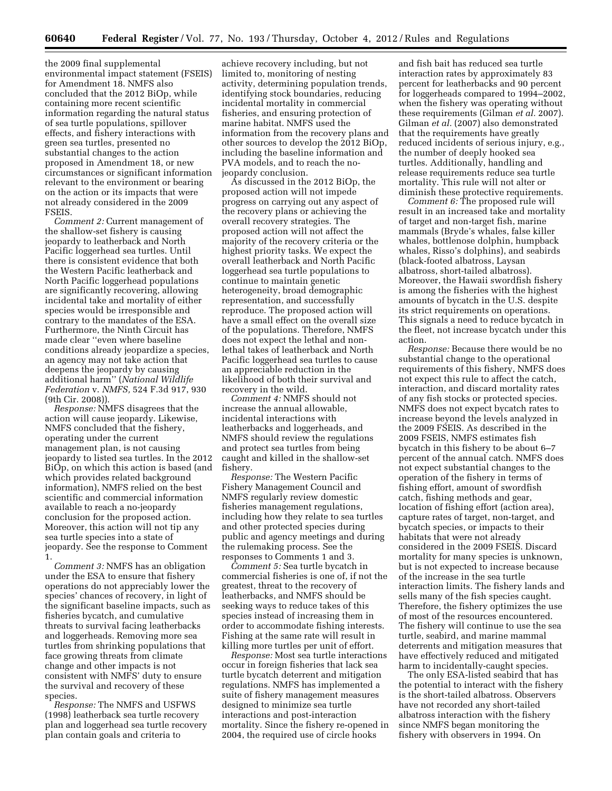the 2009 final supplemental environmental impact statement (FSEIS) for Amendment 18. NMFS also concluded that the 2012 BiOp, while containing more recent scientific information regarding the natural status of sea turtle populations, spillover effects, and fishery interactions with green sea turtles, presented no substantial changes to the action proposed in Amendment 18, or new circumstances or significant information relevant to the environment or bearing on the action or its impacts that were not already considered in the 2009 FSEIS.

*Comment 2:* Current management of the shallow-set fishery is causing jeopardy to leatherback and North Pacific loggerhead sea turtles. Until there is consistent evidence that both the Western Pacific leatherback and North Pacific loggerhead populations are significantly recovering, allowing incidental take and mortality of either species would be irresponsible and contrary to the mandates of the ESA. Furthermore, the Ninth Circuit has made clear ''even where baseline conditions already jeopardize a species, an agency may not take action that deepens the jeopardy by causing additional harm'' (*National Wildlife Federation* v. *NMFS,* 524 F.3d 917, 930 (9th Cir. 2008)).

*Response:* NMFS disagrees that the action will cause jeopardy. Likewise, NMFS concluded that the fishery, operating under the current management plan, is not causing jeopardy to listed sea turtles. In the 2012 BiOp, on which this action is based (and which provides related background information), NMFS relied on the best scientific and commercial information available to reach a no-jeopardy conclusion for the proposed action. Moreover, this action will not tip any sea turtle species into a state of jeopardy. See the response to Comment 1.

*Comment 3:* NMFS has an obligation under the ESA to ensure that fishery operations do not appreciably lower the species' chances of recovery, in light of the significant baseline impacts, such as fisheries bycatch, and cumulative threats to survival facing leatherbacks and loggerheads. Removing more sea turtles from shrinking populations that face growing threats from climate change and other impacts is not consistent with NMFS' duty to ensure the survival and recovery of these species.

*Response:* The NMFS and USFWS (1998) leatherback sea turtle recovery plan and loggerhead sea turtle recovery plan contain goals and criteria to

achieve recovery including, but not limited to, monitoring of nesting activity, determining population trends, identifying stock boundaries, reducing incidental mortality in commercial fisheries, and ensuring protection of marine habitat. NMFS used the information from the recovery plans and other sources to develop the 2012 BiOp, including the baseline information and PVA models, and to reach the nojeopardy conclusion.

As discussed in the 2012 BiOp, the proposed action will not impede progress on carrying out any aspect of the recovery plans or achieving the overall recovery strategies. The proposed action will not affect the majority of the recovery criteria or the highest priority tasks. We expect the overall leatherback and North Pacific loggerhead sea turtle populations to continue to maintain genetic heterogeneity, broad demographic representation, and successfully reproduce. The proposed action will have a small effect on the overall size of the populations. Therefore, NMFS does not expect the lethal and nonlethal takes of leatherback and North Pacific loggerhead sea turtles to cause an appreciable reduction in the likelihood of both their survival and recovery in the wild.

*Comment 4:* NMFS should not increase the annual allowable, incidental interactions with leatherbacks and loggerheads, and NMFS should review the regulations and protect sea turtles from being caught and killed in the shallow-set fishery.

*Response:* The Western Pacific Fishery Management Council and NMFS regularly review domestic fisheries management regulations, including how they relate to sea turtles and other protected species during public and agency meetings and during the rulemaking process. See the responses to Comments 1 and 3.

*Comment 5:* Sea turtle bycatch in commercial fisheries is one of, if not the greatest, threat to the recovery of leatherbacks, and NMFS should be seeking ways to reduce takes of this species instead of increasing them in order to accommodate fishing interests. Fishing at the same rate will result in killing more turtles per unit of effort.

*Response:* Most sea turtle interactions occur in foreign fisheries that lack sea turtle bycatch deterrent and mitigation regulations. NMFS has implemented a suite of fishery management measures designed to minimize sea turtle interactions and post-interaction mortality. Since the fishery re-opened in 2004, the required use of circle hooks

and fish bait has reduced sea turtle interaction rates by approximately 83 percent for leatherbacks and 90 percent for loggerheads compared to 1994–2002, when the fishery was operating without these requirements (Gilman *et al.* 2007). Gilman *et al.* (2007) also demonstrated that the requirements have greatly reduced incidents of serious injury, e.g., the number of deeply hooked sea turtles. Additionally, handling and release requirements reduce sea turtle mortality. This rule will not alter or diminish these protective requirements.

*Comment 6:* The proposed rule will result in an increased take and mortality of target and non-target fish, marine mammals (Bryde's whales, false killer whales, bottlenose dolphin, humpback whales, Risso's dolphins), and seabirds (black-footed albatross, Laysan albatross, short-tailed albatross). Moreover, the Hawaii swordfish fishery is among the fisheries with the highest amounts of bycatch in the U.S. despite its strict requirements on operations. This signals a need to reduce bycatch in the fleet, not increase bycatch under this action.

*Response:* Because there would be no substantial change to the operational requirements of this fishery, NMFS does not expect this rule to affect the catch, interaction, and discard mortality rates of any fish stocks or protected species. NMFS does not expect bycatch rates to increase beyond the levels analyzed in the 2009 FSEIS. As described in the 2009 FSEIS, NMFS estimates fish bycatch in this fishery to be about 6–7 percent of the annual catch. NMFS does not expect substantial changes to the operation of the fishery in terms of fishing effort, amount of swordfish catch, fishing methods and gear, location of fishing effort (action area), capture rates of target, non-target, and bycatch species, or impacts to their habitats that were not already considered in the 2009 FSEIS. Discard mortality for many species is unknown, but is not expected to increase because of the increase in the sea turtle interaction limits. The fishery lands and sells many of the fish species caught. Therefore, the fishery optimizes the use of most of the resources encountered. The fishery will continue to use the sea turtle, seabird, and marine mammal deterrents and mitigation measures that have effectively reduced and mitigated harm to incidentally-caught species.

The only ESA-listed seabird that has the potential to interact with the fishery is the short-tailed albatross. Observers have not recorded any short-tailed albatross interaction with the fishery since NMFS began monitoring the fishery with observers in 1994. On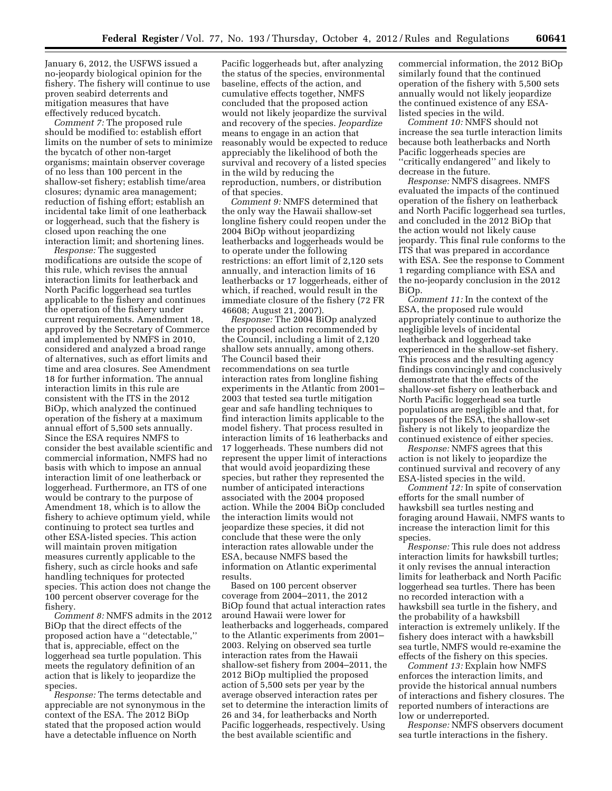January 6, 2012, the USFWS issued a no-jeopardy biological opinion for the fishery. The fishery will continue to use proven seabird deterrents and mitigation measures that have effectively reduced bycatch.

*Comment 7:* The proposed rule should be modified to: establish effort limits on the number of sets to minimize the bycatch of other non-target organisms; maintain observer coverage of no less than 100 percent in the shallow-set fishery; establish time/area closures; dynamic area management; reduction of fishing effort; establish an incidental take limit of one leatherback or loggerhead, such that the fishery is closed upon reaching the one interaction limit; and shortening lines.

*Response:* The suggested modifications are outside the scope of this rule, which revises the annual interaction limits for leatherback and North Pacific loggerhead sea turtles applicable to the fishery and continues the operation of the fishery under current requirements. Amendment 18, approved by the Secretary of Commerce and implemented by NMFS in 2010, considered and analyzed a broad range of alternatives, such as effort limits and time and area closures. See Amendment 18 for further information. The annual interaction limits in this rule are consistent with the ITS in the 2012 BiOp, which analyzed the continued operation of the fishery at a maximum annual effort of 5,500 sets annually. Since the ESA requires NMFS to consider the best available scientific and commercial information, NMFS had no basis with which to impose an annual interaction limit of one leatherback or loggerhead. Furthermore, an ITS of one would be contrary to the purpose of Amendment 18, which is to allow the fishery to achieve optimum yield, while continuing to protect sea turtles and other ESA-listed species. This action will maintain proven mitigation measures currently applicable to the fishery, such as circle hooks and safe handling techniques for protected species. This action does not change the 100 percent observer coverage for the fishery.

*Comment 8:* NMFS admits in the 2012 BiOp that the direct effects of the proposed action have a ''detectable,'' that is, appreciable, effect on the loggerhead sea turtle population. This meets the regulatory definition of an action that is likely to jeopardize the species.

*Response:* The terms detectable and appreciable are not synonymous in the context of the ESA. The 2012 BiOp stated that the proposed action would have a detectable influence on North

Pacific loggerheads but, after analyzing the status of the species, environmental baseline, effects of the action, and cumulative effects together, NMFS concluded that the proposed action would not likely jeopardize the survival and recovery of the species. *Jeopardize*  means to engage in an action that reasonably would be expected to reduce appreciably the likelihood of both the survival and recovery of a listed species in the wild by reducing the reproduction, numbers, or distribution of that species.

*Comment 9:* NMFS determined that the only way the Hawaii shallow-set longline fishery could reopen under the 2004 BiOp without jeopardizing leatherbacks and loggerheads would be to operate under the following restrictions: an effort limit of 2,120 sets annually, and interaction limits of 16 leatherbacks or 17 loggerheads, either of which, if reached, would result in the immediate closure of the fishery (72 FR 46608; August 21, 2007).

*Response:* The 2004 BiOp analyzed the proposed action recommended by the Council, including a limit of 2,120 shallow sets annually, among others. The Council based their recommendations on sea turtle interaction rates from longline fishing experiments in the Atlantic from 2001– 2003 that tested sea turtle mitigation gear and safe handling techniques to find interaction limits applicable to the model fishery. That process resulted in interaction limits of 16 leatherbacks and 17 loggerheads. These numbers did not represent the upper limit of interactions that would avoid jeopardizing these species, but rather they represented the number of anticipated interactions associated with the 2004 proposed action. While the 2004 BiOp concluded the interaction limits would not jeopardize these species, it did not conclude that these were the only interaction rates allowable under the ESA, because NMFS based the information on Atlantic experimental results.

Based on 100 percent observer coverage from 2004–2011, the 2012 BiOp found that actual interaction rates around Hawaii were lower for leatherbacks and loggerheads, compared to the Atlantic experiments from 2001– 2003. Relying on observed sea turtle interaction rates from the Hawaii shallow-set fishery from 2004–2011, the 2012 BiOp multiplied the proposed action of 5,500 sets per year by the average observed interaction rates per set to determine the interaction limits of 26 and 34, for leatherbacks and North Pacific loggerheads, respectively. Using the best available scientific and

commercial information, the 2012 BiOp similarly found that the continued operation of the fishery with 5,500 sets annually would not likely jeopardize the continued existence of any ESAlisted species in the wild.

*Comment 10:* NMFS should not increase the sea turtle interaction limits because both leatherbacks and North Pacific loggerheads species are ''critically endangered'' and likely to decrease in the future.

*Response:* NMFS disagrees. NMFS evaluated the impacts of the continued operation of the fishery on leatherback and North Pacific loggerhead sea turtles, and concluded in the 2012 BiOp that the action would not likely cause jeopardy. This final rule conforms to the ITS that was prepared in accordance with ESA. See the response to Comment 1 regarding compliance with ESA and the no-jeopardy conclusion in the 2012 BiOp.

*Comment 11:* In the context of the ESA, the proposed rule would appropriately continue to authorize the negligible levels of incidental leatherback and loggerhead take experienced in the shallow-set fishery. This process and the resulting agency findings convincingly and conclusively demonstrate that the effects of the shallow-set fishery on leatherback and North Pacific loggerhead sea turtle populations are negligible and that, for purposes of the ESA, the shallow-set fishery is not likely to jeopardize the continued existence of either species.

*Response:* NMFS agrees that this action is not likely to jeopardize the continued survival and recovery of any ESA-listed species in the wild.

*Comment 12:* In spite of conservation efforts for the small number of hawksbill sea turtles nesting and foraging around Hawaii, NMFS wants to increase the interaction limit for this species.

*Response:* This rule does not address interaction limits for hawksbill turtles; it only revises the annual interaction limits for leatherback and North Pacific loggerhead sea turtles. There has been no recorded interaction with a hawksbill sea turtle in the fishery, and the probability of a hawksbill interaction is extremely unlikely. If the fishery does interact with a hawksbill sea turtle, NMFS would re-examine the effects of the fishery on this species.

*Comment 13:* Explain how NMFS enforces the interaction limits, and provide the historical annual numbers of interactions and fishery closures. The reported numbers of interactions are low or underreported.

*Response:* NMFS observers document sea turtle interactions in the fishery.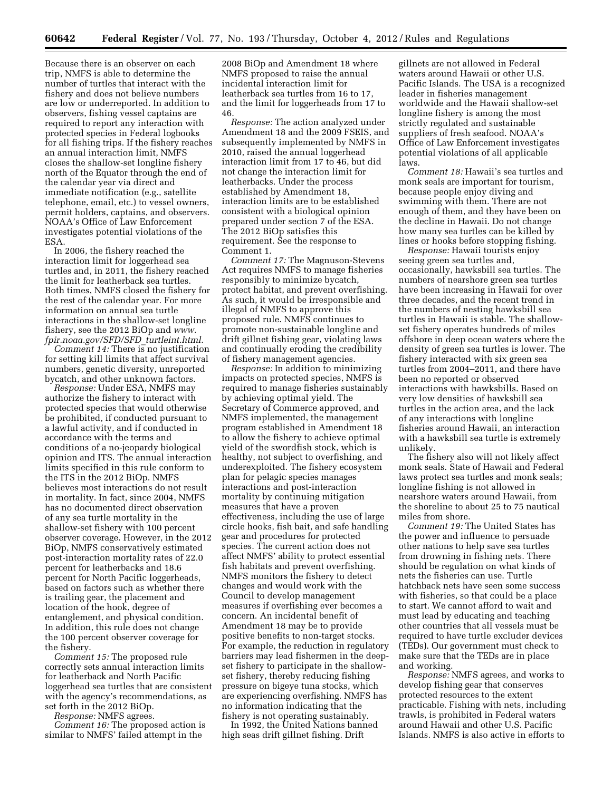Because there is an observer on each trip, NMFS is able to determine the number of turtles that interact with the fishery and does not believe numbers are low or underreported. In addition to observers, fishing vessel captains are required to report any interaction with protected species in Federal logbooks for all fishing trips. If the fishery reaches an annual interaction limit, NMFS closes the shallow-set longline fishery north of the Equator through the end of the calendar year via direct and immediate notification (e.g., satellite telephone, email, etc.) to vessel owners, permit holders, captains, and observers. NOAA's Office of Law Enforcement investigates potential violations of the ESA.

In 2006, the fishery reached the interaction limit for loggerhead sea turtles and, in 2011, the fishery reached the limit for leatherback sea turtles. Both times, NMFS closed the fishery for the rest of the calendar year. For more information on annual sea turtle interactions in the shallow-set longline fishery, see the 2012 BiOp and *[www.](http://www.fpir.noaa.gov/SFD/SFD_turtleint.html) [fpir.noaa.gov/SFD/SFD](http://www.fpir.noaa.gov/SFD/SFD_turtleint.html)*\_*turtleint.html.* 

*Comment 14:* There is no justification for setting kill limits that affect survival numbers, genetic diversity, unreported bycatch, and other unknown factors.

*Response:* Under ESA, NMFS may authorize the fishery to interact with protected species that would otherwise be prohibited, if conducted pursuant to a lawful activity, and if conducted in accordance with the terms and conditions of a no-jeopardy biological opinion and ITS. The annual interaction limits specified in this rule conform to the ITS in the 2012 BiOp. NMFS believes most interactions do not result in mortality. In fact, since 2004, NMFS has no documented direct observation of any sea turtle mortality in the shallow-set fishery with 100 percent observer coverage. However, in the 2012 BiOp, NMFS conservatively estimated post-interaction mortality rates of 22.0 percent for leatherbacks and 18.6 percent for North Pacific loggerheads, based on factors such as whether there is trailing gear, the placement and location of the hook, degree of entanglement, and physical condition. In addition, this rule does not change the 100 percent observer coverage for the fishery.

*Comment 15:* The proposed rule correctly sets annual interaction limits for leatherback and North Pacific loggerhead sea turtles that are consistent with the agency's recommendations, as set forth in the 2012 BiOp.

*Response:* NMFS agrees.

*Comment 16:* The proposed action is similar to NMFS' failed attempt in the

2008 BiOp and Amendment 18 where NMFS proposed to raise the annual incidental interaction limit for leatherback sea turtles from 16 to 17, and the limit for loggerheads from 17 to 46.

*Response:* The action analyzed under Amendment 18 and the 2009 FSEIS, and subsequently implemented by NMFS in 2010, raised the annual loggerhead interaction limit from 17 to 46, but did not change the interaction limit for leatherbacks. Under the process established by Amendment 18, interaction limits are to be established consistent with a biological opinion prepared under section 7 of the ESA. The 2012 BiOp satisfies this requirement. See the response to Comment 1.

*Comment 17:* The Magnuson-Stevens Act requires NMFS to manage fisheries responsibly to minimize bycatch, protect habitat, and prevent overfishing. As such, it would be irresponsible and illegal of NMFS to approve this proposed rule. NMFS continues to promote non-sustainable longline and drift gillnet fishing gear, violating laws and continually eroding the credibility of fishery management agencies.

*Response:* In addition to minimizing impacts on protected species, NMFS is required to manage fisheries sustainably by achieving optimal yield. The Secretary of Commerce approved, and NMFS implemented, the management program established in Amendment 18 to allow the fishery to achieve optimal yield of the swordfish stock, which is healthy, not subject to overfishing, and underexploited. The fishery ecosystem plan for pelagic species manages interactions and post-interaction mortality by continuing mitigation measures that have a proven effectiveness, including the use of large circle hooks, fish bait, and safe handling gear and procedures for protected species. The current action does not affect NMFS' ability to protect essential fish habitats and prevent overfishing. NMFS monitors the fishery to detect changes and would work with the Council to develop management measures if overfishing ever becomes a concern. An incidental benefit of Amendment 18 may be to provide positive benefits to non-target stocks. For example, the reduction in regulatory barriers may lead fishermen in the deepset fishery to participate in the shallowset fishery, thereby reducing fishing pressure on bigeye tuna stocks, which are experiencing overfishing. NMFS has no information indicating that the fishery is not operating sustainably.

In 1992, the United Nations banned high seas drift gillnet fishing. Drift

gillnets are not allowed in Federal waters around Hawaii or other U.S. Pacific Islands. The USA is a recognized leader in fisheries management worldwide and the Hawaii shallow-set longline fishery is among the most strictly regulated and sustainable suppliers of fresh seafood. NOAA's Office of Law Enforcement investigates potential violations of all applicable laws.

*Comment 18:* Hawaii's sea turtles and monk seals are important for tourism, because people enjoy diving and swimming with them. There are not enough of them, and they have been on the decline in Hawaii. Do not change how many sea turtles can be killed by lines or hooks before stopping fishing.

*Response:* Hawaii tourists enjoy seeing green sea turtles and, occasionally, hawksbill sea turtles. The numbers of nearshore green sea turtles have been increasing in Hawaii for over three decades, and the recent trend in the numbers of nesting hawksbill sea turtles in Hawaii is stable. The shallowset fishery operates hundreds of miles offshore in deep ocean waters where the density of green sea turtles is lower. The fishery interacted with six green sea turtles from 2004–2011, and there have been no reported or observed interactions with hawksbills. Based on very low densities of hawksbill sea turtles in the action area, and the lack of any interactions with longline fisheries around Hawaii, an interaction with a hawksbill sea turtle is extremely unlikely.

The fishery also will not likely affect monk seals. State of Hawaii and Federal laws protect sea turtles and monk seals; longline fishing is not allowed in nearshore waters around Hawaii, from the shoreline to about 25 to 75 nautical miles from shore.

*Comment 19:* The United States has the power and influence to persuade other nations to help save sea turtles from drowning in fishing nets. There should be regulation on what kinds of nets the fisheries can use. Turtle hatchback nets have seen some success with fisheries, so that could be a place to start. We cannot afford to wait and must lead by educating and teaching other countries that all vessels must be required to have turtle excluder devices (TEDs). Our government must check to make sure that the TEDs are in place and working.

*Response:* NMFS agrees, and works to develop fishing gear that conserves protected resources to the extent practicable. Fishing with nets, including trawls, is prohibited in Federal waters around Hawaii and other U.S. Pacific Islands. NMFS is also active in efforts to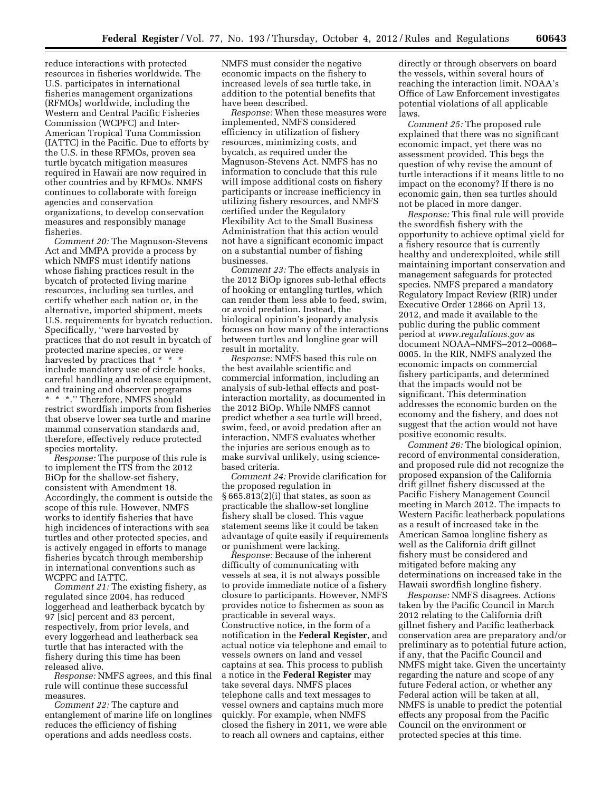reduce interactions with protected resources in fisheries worldwide. The U.S. participates in international fisheries management organizations (RFMOs) worldwide, including the Western and Central Pacific Fisheries Commission (WCPFC) and Inter-American Tropical Tuna Commission (IATTC) in the Pacific. Due to efforts by the U.S. in these RFMOs, proven sea turtle bycatch mitigation measures required in Hawaii are now required in other countries and by RFMOs. NMFS continues to collaborate with foreign agencies and conservation organizations, to develop conservation measures and responsibly manage fisheries.

*Comment 20:* The Magnuson-Stevens Act and MMPA provide a process by which NMFS must identify nations whose fishing practices result in the bycatch of protected living marine resources, including sea turtles, and certify whether each nation or, in the alternative, imported shipment, meets U.S. requirements for bycatch reduction. Specifically, ''were harvested by practices that do not result in bycatch of protected marine species, or were harvested by practices that  $*$   $*$ include mandatory use of circle hooks, careful handling and release equipment, and training and observer programs \* \* \*.'' Therefore, NMFS should restrict swordfish imports from fisheries that observe lower sea turtle and marine mammal conservation standards and, therefore, effectively reduce protected species mortality.

*Response:* The purpose of this rule is to implement the ITS from the 2012 BiOp for the shallow-set fishery, consistent with Amendment 18. Accordingly, the comment is outside the scope of this rule. However, NMFS works to identify fisheries that have high incidences of interactions with sea turtles and other protected species, and is actively engaged in efforts to manage fisheries bycatch through membership in international conventions such as WCPFC and IATTC.

*Comment 21:* The existing fishery, as regulated since 2004, has reduced loggerhead and leatherback bycatch by 97 [sic] percent and 83 percent, respectively, from prior levels, and every loggerhead and leatherback sea turtle that has interacted with the fishery during this time has been released alive.

*Response:* NMFS agrees, and this final rule will continue these successful measures.

*Comment 22:* The capture and entanglement of marine life on longlines reduces the efficiency of fishing operations and adds needless costs.

NMFS must consider the negative economic impacts on the fishery to increased levels of sea turtle take, in addition to the potential benefits that have been described.

*Response:* When these measures were implemented, NMFS considered efficiency in utilization of fishery resources, minimizing costs, and bycatch, as required under the Magnuson-Stevens Act. NMFS has no information to conclude that this rule will impose additional costs on fishery participants or increase inefficiency in utilizing fishery resources, and NMFS certified under the Regulatory Flexibility Act to the Small Business Administration that this action would not have a significant economic impact on a substantial number of fishing businesses.

*Comment 23:* The effects analysis in the 2012 BiOp ignores sub-lethal effects of hooking or entangling turtles, which can render them less able to feed, swim, or avoid predation. Instead, the biological opinion's jeopardy analysis focuses on how many of the interactions between turtles and longline gear will result in mortality.

*Response:* NMFS based this rule on the best available scientific and commercial information, including an analysis of sub-lethal effects and postinteraction mortality, as documented in the 2012 BiOp. While NMFS cannot predict whether a sea turtle will breed, swim, feed, or avoid predation after an interaction, NMFS evaluates whether the injuries are serious enough as to make survival unlikely, using sciencebased criteria.

*Comment 24:* Provide clarification for the proposed regulation in § 665.813(2)(i) that states, as soon as practicable the shallow-set longline fishery shall be closed. This vague statement seems like it could be taken advantage of quite easily if requirements or punishment were lacking.

*Response:* Because of the inherent difficulty of communicating with vessels at sea, it is not always possible to provide immediate notice of a fishery closure to participants. However, NMFS provides notice to fishermen as soon as practicable in several ways. Constructive notice, in the form of a notification in the **Federal Register**, and actual notice via telephone and email to vessels owners on land and vessel captains at sea. This process to publish a notice in the **Federal Register** may take several days. NMFS places telephone calls and text messages to vessel owners and captains much more quickly. For example, when NMFS closed the fishery in 2011, we were able to reach all owners and captains, either

directly or through observers on board the vessels, within several hours of reaching the interaction limit. NOAA's Office of Law Enforcement investigates potential violations of all applicable laws.

*Comment 25:* The proposed rule explained that there was no significant economic impact, yet there was no assessment provided. This begs the question of why revise the amount of turtle interactions if it means little to no impact on the economy? If there is no economic gain, then sea turtles should not be placed in more danger.

*Response:* This final rule will provide the swordfish fishery with the opportunity to achieve optimal yield for a fishery resource that is currently healthy and underexploited, while still maintaining important conservation and management safeguards for protected species. NMFS prepared a mandatory Regulatory Impact Review (RIR) under Executive Order 12866 on April 13, 2012, and made it available to the public during the public comment period at *[www.regulations.gov](http://www.regulations.gov)* as document NOAA–NMFS–2012–0068– 0005. In the RIR, NMFS analyzed the economic impacts on commercial fishery participants, and determined that the impacts would not be significant. This determination addresses the economic burden on the economy and the fishery, and does not suggest that the action would not have positive economic results.

*Comment 26:* The biological opinion, record of environmental consideration, and proposed rule did not recognize the proposed expansion of the California drift gillnet fishery discussed at the Pacific Fishery Management Council meeting in March 2012. The impacts to Western Pacific leatherback populations as a result of increased take in the American Samoa longline fishery as well as the California drift gillnet fishery must be considered and mitigated before making any determinations on increased take in the Hawaii swordfish longline fishery.

*Response:* NMFS disagrees. Actions taken by the Pacific Council in March 2012 relating to the California drift gillnet fishery and Pacific leatherback conservation area are preparatory and/or preliminary as to potential future action, if any, that the Pacific Council and NMFS might take. Given the uncertainty regarding the nature and scope of any future Federal action, or whether any Federal action will be taken at all, NMFS is unable to predict the potential effects any proposal from the Pacific Council on the environment or protected species at this time.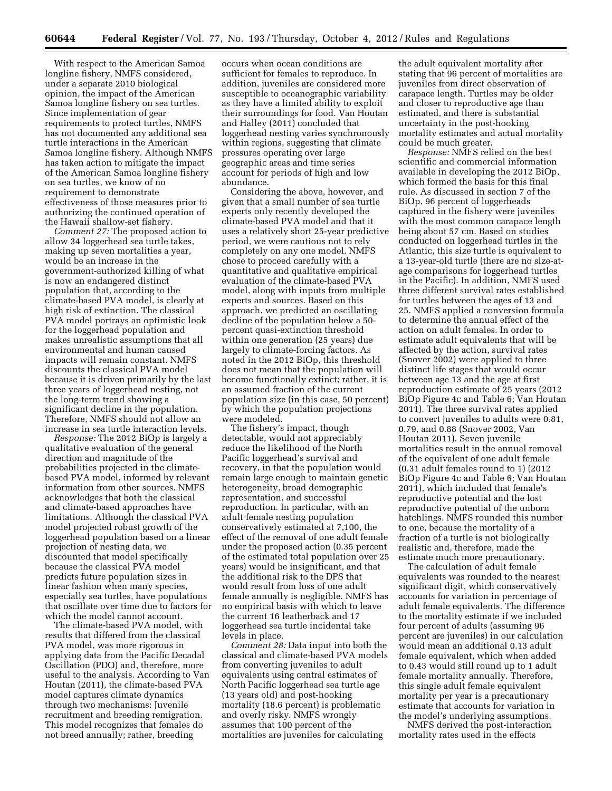With respect to the American Samoa longline fishery, NMFS considered, under a separate 2010 biological opinion, the impact of the American Samoa longline fishery on sea turtles. Since implementation of gear requirements to protect turtles, NMFS has not documented any additional sea turtle interactions in the American Samoa longline fishery. Although NMFS has taken action to mitigate the impact of the American Samoa longline fishery on sea turtles, we know of no requirement to demonstrate effectiveness of those measures prior to authorizing the continued operation of the Hawaii shallow-set fishery.

*Comment 27:* The proposed action to allow 34 loggerhead sea turtle takes, making up seven mortalities a year, would be an increase in the government-authorized killing of what is now an endangered distinct population that, according to the climate-based PVA model, is clearly at high risk of extinction. The classical PVA model portrays an optimistic look for the loggerhead population and makes unrealistic assumptions that all environmental and human caused impacts will remain constant. NMFS discounts the classical PVA model because it is driven primarily by the last three years of loggerhead nesting, not the long-term trend showing a significant decline in the population. Therefore, NMFS should not allow an increase in sea turtle interaction levels.

*Response:* The 2012 BiOp is largely a qualitative evaluation of the general direction and magnitude of the probabilities projected in the climatebased PVA model, informed by relevant information from other sources. NMFS acknowledges that both the classical and climate-based approaches have limitations. Although the classical PVA model projected robust growth of the loggerhead population based on a linear projection of nesting data, we discounted that model specifically because the classical PVA model predicts future population sizes in linear fashion when many species, especially sea turtles, have populations that oscillate over time due to factors for which the model cannot account.

The climate-based PVA model, with results that differed from the classical PVA model, was more rigorous in applying data from the Pacific Decadal Oscillation (PDO) and, therefore, more useful to the analysis. According to Van Houtan (2011), the climate-based PVA model captures climate dynamics through two mechanisms: Juvenile recruitment and breeding remigration. This model recognizes that females do not breed annually; rather, breeding

occurs when ocean conditions are sufficient for females to reproduce. In addition, juveniles are considered more susceptible to oceanographic variability as they have a limited ability to exploit their surroundings for food. Van Houtan and Halley (2011) concluded that loggerhead nesting varies synchronously within regions, suggesting that climate pressures operating over large geographic areas and time series account for periods of high and low abundance.

Considering the above, however, and given that a small number of sea turtle experts only recently developed the climate-based PVA model and that it uses a relatively short 25-year predictive period, we were cautious not to rely completely on any one model. NMFS chose to proceed carefully with a quantitative and qualitative empirical evaluation of the climate-based PVA model, along with inputs from multiple experts and sources. Based on this approach, we predicted an oscillating decline of the population below a 50 percent quasi-extinction threshold within one generation (25 years) due largely to climate-forcing factors. As noted in the 2012 BiOp, this threshold does not mean that the population will become functionally extinct; rather, it is an assumed fraction of the current population size (in this case, 50 percent) by which the population projections were modeled.

The fishery's impact, though detectable, would not appreciably reduce the likelihood of the North Pacific loggerhead's survival and recovery, in that the population would remain large enough to maintain genetic heterogeneity, broad demographic representation, and successful reproduction. In particular, with an adult female nesting population conservatively estimated at 7,100, the effect of the removal of one adult female under the proposed action (0.35 percent of the estimated total population over 25 years) would be insignificant, and that the additional risk to the DPS that would result from loss of one adult female annually is negligible. NMFS has no empirical basis with which to leave the current 16 leatherback and 17 loggerhead sea turtle incidental take levels in place.

*Comment 28:* Data input into both the classical and climate-based PVA models from converting juveniles to adult equivalents using central estimates of North Pacific loggerhead sea turtle age (13 years old) and post-hooking mortality (18.6 percent) is problematic and overly risky. NMFS wrongly assumes that 100 percent of the mortalities are juveniles for calculating

the adult equivalent mortality after stating that 96 percent of mortalities are juveniles from direct observation of carapace length. Turtles may be older and closer to reproductive age than estimated, and there is substantial uncertainty in the post-hooking mortality estimates and actual mortality could be much greater.

*Response:* NMFS relied on the best scientific and commercial information available in developing the 2012 BiOp, which formed the basis for this final rule. As discussed in section 7 of the BiOp, 96 percent of loggerheads captured in the fishery were juveniles with the most common carapace length being about 57 cm. Based on studies conducted on loggerhead turtles in the Atlantic, this size turtle is equivalent to a 13-year-old turtle (there are no size-atage comparisons for loggerhead turtles in the Pacific). In addition, NMFS used three different survival rates established for turtles between the ages of 13 and 25. NMFS applied a conversion formula to determine the annual effect of the action on adult females. In order to estimate adult equivalents that will be affected by the action, survival rates (Snover 2002) were applied to three distinct life stages that would occur between age 13 and the age at first reproduction estimate of 25 years (2012 BiOp Figure 4c and Table 6; Van Houtan 2011). The three survival rates applied to convert juveniles to adults were 0.81, 0.79, and 0.88 (Snover 2002, Van Houtan 2011). Seven juvenile mortalities result in the annual removal of the equivalent of one adult female (0.31 adult females round to 1) (2012 BiOp Figure 4c and Table 6; Van Houtan 2011), which included that female's reproductive potential and the lost reproductive potential of the unborn hatchlings. NMFS rounded this number to one, because the mortality of a fraction of a turtle is not biologically realistic and, therefore, made the estimate much more precautionary.

The calculation of adult female equivalents was rounded to the nearest significant digit, which conservatively accounts for variation in percentage of adult female equivalents. The difference to the mortality estimate if we included four percent of adults (assuming 96 percent are juveniles) in our calculation would mean an additional 0.13 adult female equivalent, which when added to 0.43 would still round up to 1 adult female mortality annually. Therefore, this single adult female equivalent mortality per year is a precautionary estimate that accounts for variation in the model's underlying assumptions.

NMFS derived the post-interaction mortality rates used in the effects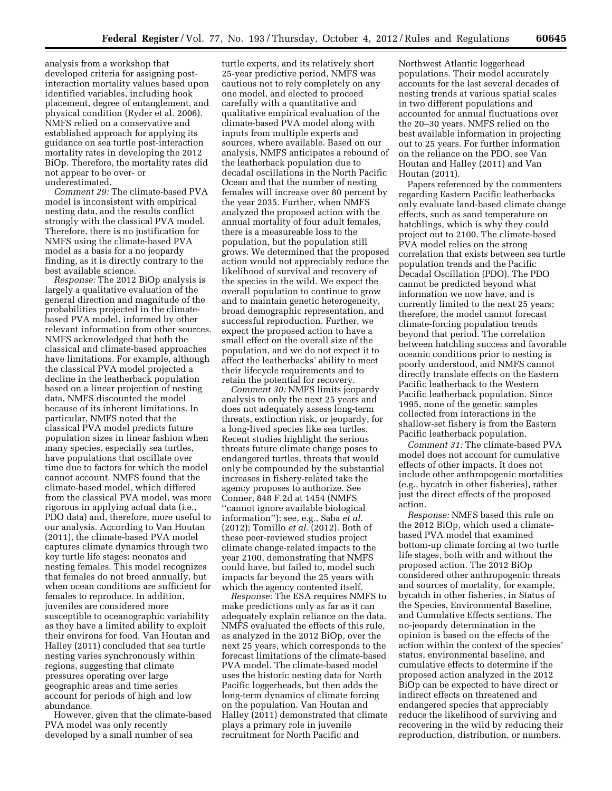analysis from a workshop that developed criteria for assigning postinteraction mortality values based upon identified variables, including hook placement, degree of entanglement, and physical condition (Ryder et al. 2006). NMFS relied on a conservative and established approach for applying its guidance on sea turtle post-interaction mortality rates in developing the 2012 BiOp. Therefore, the mortality rates did not appear to be over- or underestimated.

*Comment 29:* The climate-based PVA model is inconsistent with empirical nesting data, and the results conflict strongly with the classical PVA model. Therefore, there is no justification for NMFS using the climate-based PVA model as a basis for a no jeopardy finding, as it is directly contrary to the best available science.

*Response:* The 2012 BiOp analysis is largely a qualitative evaluation of the general direction and magnitude of the probabilities projected in the climatebased PVA model, informed by other relevant information from other sources. NMFS acknowledged that both the classical and climate-based approaches have limitations. For example, although the classical PVA model projected a decline in the leatherback population based on a linear projection of nesting data, NMFS discounted the model because of its inherent limitations. In particular, NMFS noted that the classical PVA model predicts future population sizes in linear fashion when many species, especially sea turtles, have populations that oscillate over time due to factors for which the model cannot account. NMFS found that the climate-based model, which differed from the classical PVA model, was more rigorous in applying actual data (i.e., PDO data) and, therefore, more useful to our analysis. According to Van Houtan (2011), the climate-based PVA model captures climate dynamics through two key turtle life stages: neonates and nesting females. This model recognizes that females do not breed annually, but when ocean conditions are sufficient for females to reproduce. In addition, juveniles are considered more susceptible to oceanographic variability as they have a limited ability to exploit their environs for food. Van Houtan and Halley (2011) concluded that sea turtle nesting varies synchronously within regions, suggesting that climate pressures operating over large geographic areas and time series account for periods of high and low abundance.

However, given that the climate-based PVA model was only recently developed by a small number of sea

turtle experts, and its relatively short 25-year predictive period, NMFS was cautious not to rely completely on any one model, and elected to proceed carefully with a quantitative and qualitative empirical evaluation of the climate-based PVA model along with inputs from multiple experts and sources, where available. Based on our analysis, NMFS anticipates a rebound of the leatherback population due to decadal oscillations in the North Pacific Ocean and that the number of nesting females will increase over 80 percent by the year 2035. Further, when NMFS analyzed the proposed action with the annual mortality of four adult females, there is a measureable loss to the population, but the population still grows. We determined that the proposed action would not appreciably reduce the likelihood of survival and recovery of the species in the wild. We expect the overall population to continue to grow and to maintain genetic heterogeneity, broad demographic representation, and successful reproduction. Further, we expect the proposed action to have a small effect on the overall size of the population, and we do not expect it to affect the leatherbacks' ability to meet their lifecycle requirements and to retain the potential for recovery.

*Comment 30:* NMFS limits jeopardy analysis to only the next 25 years and does not adequately assess long-term threats, extinction risk, or jeopardy, for a long-lived species like sea turtles. Recent studies highlight the serious threats future climate change poses to endangered turtles, threats that would only be compounded by the substantial increases in fishery-related take the agency proposes to authorize. See Conner, 848 F.2d at 1454 (NMFS ''cannot ignore available biological information''); see, e.g., Saba *et al.*  (2012); Tomillo *et al.* (2012). Both of these peer-reviewed studies project climate change-related impacts to the year 2100, demonstrating that NMFS could have, but failed to, model such impacts far beyond the 25 years with which the agency contented itself.

*Response:* The ESA requires NMFS to make predictions only as far as it can adequately explain reliance on the data. NMFS evaluated the effects of this rule, as analyzed in the 2012 BiOp, over the next 25 years, which corresponds to the forecast limitations of the climate-based PVA model. The climate-based model uses the historic nesting data for North Pacific loggerheads, but then adds the long-term dynamics of climate forcing on the population. Van Houtan and Halley (2011) demonstrated that climate plays a primary role in juvenile recruitment for North Pacific and

Northwest Atlantic loggerhead populations. Their model accurately accounts for the last several decades of nesting trends at various spatial scales in two different populations and accounted for annual fluctuations over the 20–30 years. NMFS relied on the best available information in projecting out to 25 years. For further information on the reliance on the PDO, see Van Houtan and Halley (2011) and Van Houtan (2011).

Papers referenced by the commenters regarding Eastern Pacific leatherbacks only evaluate land-based climate change effects, such as sand temperature on hatchlings, which is why they could project out to 2100. The climate-based PVA model relies on the strong correlation that exists between sea turtle population trends and the Pacific Decadal Oscillation (PDO). The PDO cannot be predicted beyond what information we now have, and is currently limited to the next 25 years; therefore, the model cannot forecast climate-forcing population trends beyond that period. The correlation between hatchling success and favorable oceanic conditions prior to nesting is poorly understood, and NMFS cannot directly translate effects on the Eastern Pacific leatherback to the Western Pacific leatherback population. Since 1995, none of the genetic samples collected from interactions in the shallow-set fishery is from the Eastern Pacific leatherback population.

*Comment 31:* The climate-based PVA model does not account for cumulative effects of other impacts. It does not include other anthropogenic mortalities (e.g., bycatch in other fisheries), rather just the direct effects of the proposed action.

*Response:* NMFS based this rule on the 2012 BiOp, which used a climatebased PVA model that examined bottom-up climate forcing at two turtle life stages, both with and without the proposed action. The 2012 BiOp considered other anthropogenic threats and sources of mortality, for example, bycatch in other fisheries, in Status of the Species, Environmental Baseline, and Cumulative Effects sections. The no-jeopardy determination in the opinion is based on the effects of the action within the context of the species' status, environmental baseline, and cumulative effects to determine if the proposed action analyzed in the 2012 BiOp can be expected to have direct or indirect effects on threatened and endangered species that appreciably reduce the likelihood of surviving and recovering in the wild by reducing their reproduction, distribution, or numbers.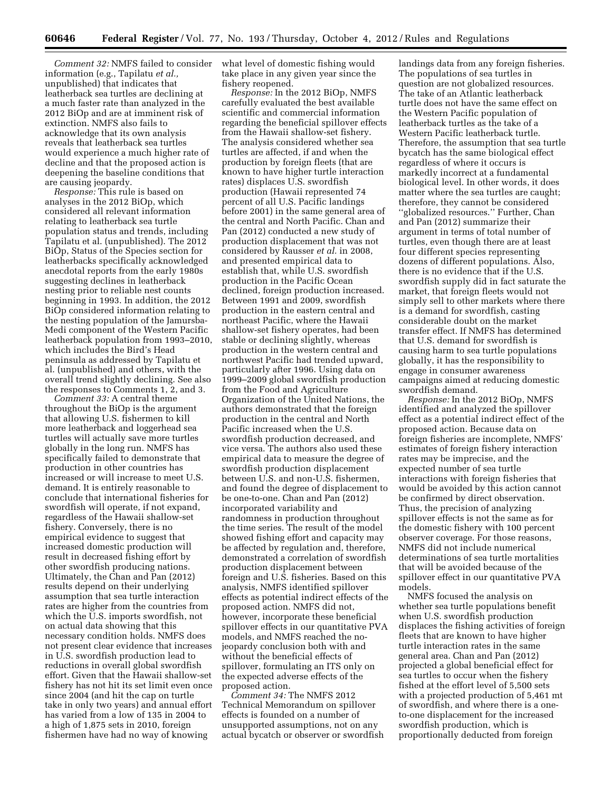*Comment 32:* NMFS failed to consider information (e.g., Tapilatu *et al.,*  unpublished) that indicates that leatherback sea turtles are declining at a much faster rate than analyzed in the 2012 BiOp and are at imminent risk of extinction. NMFS also fails to acknowledge that its own analysis reveals that leatherback sea turtles would experience a much higher rate of decline and that the proposed action is deepening the baseline conditions that are causing jeopardy.

*Response:* This rule is based on analyses in the 2012 BiOp, which considered all relevant information relating to leatherback sea turtle population status and trends, including Tapilatu et al. (unpublished). The 2012 BiOp, Status of the Species section for leatherbacks specifically acknowledged anecdotal reports from the early 1980s suggesting declines in leatherback nesting prior to reliable nest counts beginning in 1993. In addition, the 2012 BiOp considered information relating to the nesting population of the Jamursba-Medi component of the Western Pacific leatherback population from 1993–2010, which includes the Bird's Head peninsula as addressed by Tapilatu et al. (unpublished) and others, with the overall trend slightly declining. See also the responses to Comments 1, 2, and 3.

*Comment 33:* A central theme throughout the BiOp is the argument that allowing U.S. fishermen to kill more leatherback and loggerhead sea turtles will actually save more turtles globally in the long run. NMFS has specifically failed to demonstrate that production in other countries has increased or will increase to meet U.S. demand. It is entirely reasonable to conclude that international fisheries for swordfish will operate, if not expand, regardless of the Hawaii shallow-set fishery. Conversely, there is no empirical evidence to suggest that increased domestic production will result in decreased fishing effort by other swordfish producing nations. Ultimately, the Chan and Pan (2012) results depend on their underlying assumption that sea turtle interaction rates are higher from the countries from which the U.S. imports swordfish, not on actual data showing that this necessary condition holds. NMFS does not present clear evidence that increases in U.S. swordfish production lead to reductions in overall global swordfish effort. Given that the Hawaii shallow-set fishery has not hit its set limit even once since 2004 (and hit the cap on turtle take in only two years) and annual effort has varied from a low of 135 in 2004 to a high of 1,875 sets in 2010, foreign fishermen have had no way of knowing

what level of domestic fishing would take place in any given year since the fishery reopened.

*Response:* In the 2012 BiOp, NMFS carefully evaluated the best available scientific and commercial information regarding the beneficial spillover effects from the Hawaii shallow-set fishery. The analysis considered whether sea turtles are affected, if and when the production by foreign fleets (that are known to have higher turtle interaction rates) displaces U.S. swordfish production (Hawaii represented 74 percent of all U.S. Pacific landings before 2001) in the same general area of the central and North Pacific. Chan and Pan (2012) conducted a new study of production displacement that was not considered by Rausser *et al.* in 2008, and presented empirical data to establish that, while U.S. swordfish production in the Pacific Ocean declined, foreign production increased. Between 1991 and 2009, swordfish production in the eastern central and northeast Pacific, where the Hawaii shallow-set fishery operates, had been stable or declining slightly, whereas production in the western central and northwest Pacific had trended upward, particularly after 1996. Using data on 1999–2009 global swordfish production from the Food and Agriculture Organization of the United Nations, the authors demonstrated that the foreign production in the central and North Pacific increased when the U.S. swordfish production decreased, and vice versa. The authors also used these empirical data to measure the degree of swordfish production displacement between U.S. and non-U.S. fishermen, and found the degree of displacement to be one-to-one. Chan and Pan (2012) incorporated variability and randomness in production throughout the time series. The result of the model showed fishing effort and capacity may be affected by regulation and, therefore, demonstrated a correlation of swordfish production displacement between foreign and U.S. fisheries. Based on this analysis, NMFS identified spillover effects as potential indirect effects of the proposed action. NMFS did not, however, incorporate these beneficial spillover effects in our quantitative PVA models, and NMFS reached the nojeopardy conclusion both with and without the beneficial effects of spillover, formulating an ITS only on the expected adverse effects of the proposed action.

*Comment 34:* The NMFS 2012 Technical Memorandum on spillover effects is founded on a number of unsupported assumptions, not on any actual bycatch or observer or swordfish landings data from any foreign fisheries. The populations of sea turtles in question are not globalized resources. The take of an Atlantic leatherback turtle does not have the same effect on the Western Pacific population of leatherback turtles as the take of a Western Pacific leatherback turtle. Therefore, the assumption that sea turtle bycatch has the same biological effect regardless of where it occurs is markedly incorrect at a fundamental biological level. In other words, it does matter where the sea turtles are caught; therefore, they cannot be considered ''globalized resources.'' Further, Chan and Pan (2012) summarize their argument in terms of total number of turtles, even though there are at least four different species representing dozens of different populations. Also, there is no evidence that if the U.S. swordfish supply did in fact saturate the market, that foreign fleets would not simply sell to other markets where there is a demand for swordfish, casting considerable doubt on the market transfer effect. If NMFS has determined that U.S. demand for swordfish is causing harm to sea turtle populations globally, it has the responsibility to engage in consumer awareness campaigns aimed at reducing domestic swordfish demand.

*Response:* In the 2012 BiOp, NMFS identified and analyzed the spillover effect as a potential indirect effect of the proposed action. Because data on foreign fisheries are incomplete, NMFS' estimates of foreign fishery interaction rates may be imprecise, and the expected number of sea turtle interactions with foreign fisheries that would be avoided by this action cannot be confirmed by direct observation. Thus, the precision of analyzing spillover effects is not the same as for the domestic fishery with 100 percent observer coverage. For those reasons, NMFS did not include numerical determinations of sea turtle mortalities that will be avoided because of the spillover effect in our quantitative PVA models.

NMFS focused the analysis on whether sea turtle populations benefit when U.S. swordfish production displaces the fishing activities of foreign fleets that are known to have higher turtle interaction rates in the same general area. Chan and Pan (2012) projected a global beneficial effect for sea turtles to occur when the fishery fished at the effort level of 5,500 sets with a projected production of 5,461 mt of swordfish, and where there is a oneto-one displacement for the increased swordfish production, which is proportionally deducted from foreign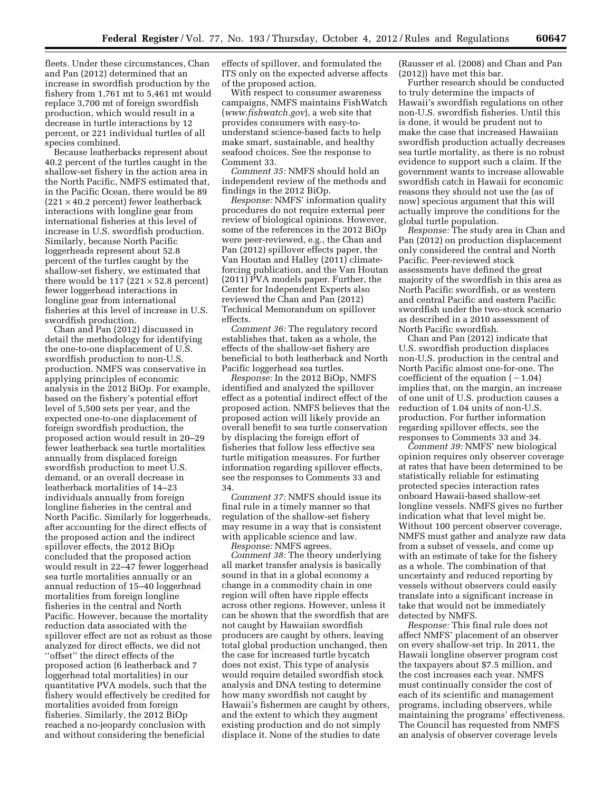fleets. Under these circumstances, Chan and Pan (2012) determined that an increase in swordfish production by the fishery from 1,761 mt to 5,461 mt would replace 3,700 mt of foreign swordfish production, which would result in a decrease in turtle interactions by 12 percent, or 221 individual turtles of all species combined.

Because leatherbacks represent about 40.2 percent of the turtles caught in the shallow-set fishery in the action area in the North Pacific, NMFS estimated that, in the Pacific Ocean, there would be 89  $(221 \times 40.2 \text{ percent})$  fewer leatherback interactions with longline gear from international fisheries at this level of increase in U.S. swordfish production. Similarly, because North Pacific loggerheads represent about 52.8 percent of the turtles caught by the shallow-set fishery, we estimated that there would be 117 (221  $\times$  52.8 percent) fewer loggerhead interactions in longline gear from international fisheries at this level of increase in U.S. swordfish production.

Chan and Pan (2012) discussed in detail the methodology for identifying the one-to-one displacement of U.S. swordfish production to non-U.S. production. NMFS was conservative in applying principles of economic analysis in the 2012 BiOp. For example, based on the fishery's potential effort level of 5,500 sets per year, and the expected one-to-one displacement of foreign swordfish production, the proposed action would result in 20–29 fewer leatherback sea turtle mortalities annually from displaced foreign swordfish production to meet U.S. demand, or an overall decrease in leatherback mortalities of 14–23 individuals annually from foreign longline fisheries in the central and North Pacific. Similarly for loggerheads, after accounting for the direct effects of the proposed action and the indirect spillover effects, the 2012 BiOp concluded that the proposed action would result in 22–47 fewer loggerhead sea turtle mortalities annually or an annual reduction of 15–40 loggerhead mortalities from foreign longline fisheries in the central and North Pacific. However, because the mortality reduction data associated with the spillover effect are not as robust as those analyzed for direct effects, we did not ''offset'' the direct effects of the proposed action (6 leatherback and 7 loggerhead total mortalities) in our quantitative PVA models, such that the fishery would effectively be credited for mortalities avoided from foreign fisheries. Similarly, the 2012 BiOp reached a no-jeopardy conclusion with and without considering the beneficial

effects of spillover, and formulated the ITS only on the expected adverse affects of the proposed action.

With respect to consumer awareness campaigns, NMFS maintains FishWatch (*[www.fishwatch.gov](http://www.fishwatch.gov)*), a web site that provides consumers with easy-tounderstand science-based facts to help make smart, sustainable, and healthy seafood choices. See the response to Comment 33.

*Comment 35:* NMFS should hold an independent review of the methods and findings in the 2012 BiOp.

*Response:* NMFS' information quality procedures do not require external peer review of biological opinions. However, some of the references in the 2012 BiOp were peer-reviewed, e.g., the Chan and Pan (2012) spillover effects paper, the Van Houtan and Halley (2011) climateforcing publication, and the Van Houtan (2011) PVA models paper. Further, the Center for Independent Experts also reviewed the Chan and Pan (2012) Technical Memorandum on spillover effects.

*Comment 36:* The regulatory record establishes that, taken as a whole, the effects of the shallow-set fishery are beneficial to both leatherback and North Pacific loggerhead sea turtles.

*Response:* In the 2012 BiOp, NMFS identified and analyzed the spillover effect as a potential indirect effect of the proposed action. NMFS believes that the proposed action will likely provide an overall benefit to sea turtle conservation by displacing the foreign effort of fisheries that follow less effective sea turtle mitigation measures. For further information regarding spillover effects, see the responses to Comments 33 and 34.

*Comment 37:* NMFS should issue its final rule in a timely manner so that regulation of the shallow-set fishery may resume in a way that is consistent with applicable science and law.

*Response:* NMFS agrees. *Comment 38:* The theory underlying all market transfer analysis is basically sound in that in a global economy a change in a commodity chain in one region will often have ripple effects across other regions. However, unless it can be shown that the swordfish that are not caught by Hawaiian swordfish producers are caught by others, leaving total global production unchanged, then the case for increased turtle bycatch does not exist. This type of analysis would require detailed swordfish stock analysis and DNA testing to determine how many swordfish not caught by Hawaii's fishermen are caught by others, and the extent to which they augment existing production and do not simply displace it. None of the studies to date

(Rausser et al. (2008) and Chan and Pan (2012)) have met this bar.

Further research should be conducted to truly determine the impacts of Hawaii's swordfish regulations on other non-U.S. swordfish fisheries. Until this is done, it would be prudent not to make the case that increased Hawaiian swordfish production actually decreases sea turtle mortality, as there is no robust evidence to support such a claim. If the government wants to increase allowable swordfish catch in Hawaii for economic reasons they should not use the (as of now) specious argument that this will actually improve the conditions for the global turtle population.

*Response:* The study area in Chan and Pan (2012) on production displacement only considered the central and North Pacific. Peer-reviewed stock assessments have defined the great majority of the swordfish in this area as North Pacific swordfish, or as western and central Pacific and eastern Pacific swordfish under the two-stock scenario as described in a 2010 assessment of North Pacific swordfish.

Chan and Pan (2012) indicate that U.S. swordfish production displaces non-U.S. production in the central and North Pacific almost one-for-one. The coefficient of the equation  $(-1.04)$ implies that, on the margin, an increase of one unit of U.S. production causes a reduction of 1.04 units of non-U.S. production. For further information regarding spillover effects, see the responses to Comments 33 and 34.

*Comment 39:* NMFS' new biological opinion requires only observer coverage at rates that have been determined to be statistically reliable for estimating protected species interaction rates onboard Hawaii-based shallow-set longline vessels. NMFS gives no further indication what that level might be. Without 100 percent observer coverage, NMFS must gather and analyze raw data from a subset of vessels, and come up with an estimate of take for the fishery as a whole. The combination of that uncertainty and reduced reporting by vessels without observers could easily translate into a significant increase in take that would not be immediately detected by NMFS.

*Response:* This final rule does not affect NMFS' placement of an observer on every shallow-set trip. In 2011, the Hawaii longline observer program cost the taxpayers about \$7.5 million, and the cost increases each year. NMFS must continually consider the cost of each of its scientific and management programs, including observers, while maintaining the programs' effectiveness. The Council has requested from NMFS an analysis of observer coverage levels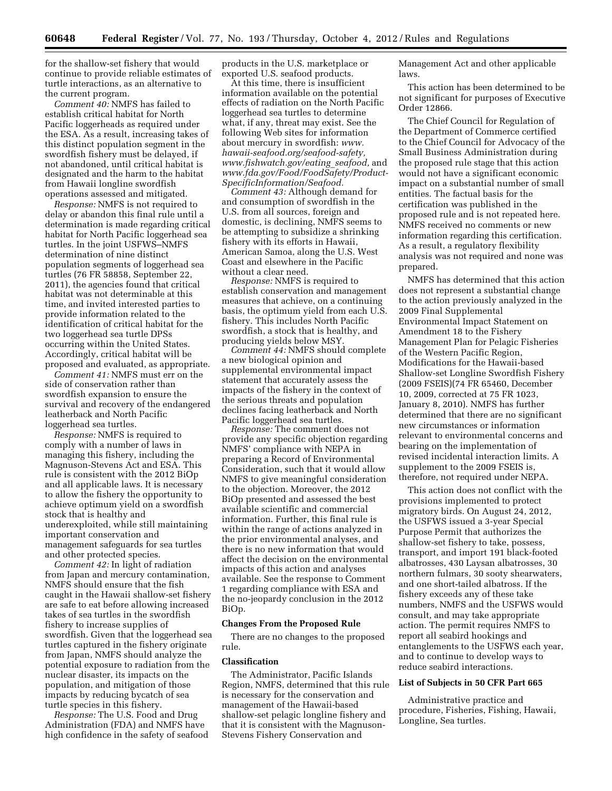for the shallow-set fishery that would continue to provide reliable estimates of turtle interactions, as an alternative to the current program.

*Comment 40:* NMFS has failed to establish critical habitat for North Pacific loggerheads as required under the ESA. As a result, increasing takes of this distinct population segment in the swordfish fishery must be delayed, if not abandoned, until critical habitat is designated and the harm to the habitat from Hawaii longline swordfish operations assessed and mitigated.

*Response:* NMFS is not required to delay or abandon this final rule until a determination is made regarding critical habitat for North Pacific loggerhead sea turtles. In the joint USFWS–NMFS determination of nine distinct population segments of loggerhead sea turtles (76 FR 58858, September 22, 2011), the agencies found that critical habitat was not determinable at this time, and invited interested parties to provide information related to the identification of critical habitat for the two loggerhead sea turtle DPSs occurring within the United States. Accordingly, critical habitat will be proposed and evaluated, as appropriate.

*Comment 41:* NMFS must err on the side of conservation rather than swordfish expansion to ensure the survival and recovery of the endangered leatherback and North Pacific loggerhead sea turtles.

*Response:* NMFS is required to comply with a number of laws in managing this fishery, including the Magnuson-Stevens Act and ESA. This rule is consistent with the 2012 BiOp and all applicable laws. It is necessary to allow the fishery the opportunity to achieve optimum yield on a swordfish stock that is healthy and underexploited, while still maintaining important conservation and management safeguards for sea turtles and other protected species.

*Comment 42:* In light of radiation from Japan and mercury contamination, NMFS should ensure that the fish caught in the Hawaii shallow-set fishery are safe to eat before allowing increased takes of sea turtles in the swordfish fishery to increase supplies of swordfish. Given that the loggerhead sea turtles captured in the fishery originate from Japan, NMFS should analyze the potential exposure to radiation from the nuclear disaster, its impacts on the population, and mitigation of those impacts by reducing bycatch of sea turtle species in this fishery.

*Response:* The U.S. Food and Drug Administration (FDA) and NMFS have high confidence in the safety of seafood products in the U.S. marketplace or exported U.S. seafood products.

At this time, there is insufficient information available on the potential effects of radiation on the North Pacific loggerhead sea turtles to determine what, if any, threat may exist. See the following Web sites for information about mercury in swordfish: *[www.](http://www.hawaii-seafood.org/seafood-safety) [hawaii-seafood.org/seafood-safety,](http://www.hawaii-seafood.org/seafood-safety)  [www.fishwatch.gov/](http://www.fishwatch.gov)eating*\_*seafood,* and *[www.fda.gov/Food/FoodSafety/Product-](http://www.fda.gov/Food/FoodSafety/Product-SpecificInformation/Seafood)[SpecificInformation/Seafood.](http://www.fda.gov/Food/FoodSafety/Product-SpecificInformation/Seafood)* 

*Comment 43:* Although demand for and consumption of swordfish in the U.S. from all sources, foreign and domestic, is declining, NMFS seems to be attempting to subsidize a shrinking fishery with its efforts in Hawaii, American Samoa, along the U.S. West Coast and elsewhere in the Pacific without a clear need.

*Response:* NMFS is required to establish conservation and management measures that achieve, on a continuing basis, the optimum yield from each U.S. fishery. This includes North Pacific swordfish, a stock that is healthy, and producing yields below MSY.

*Comment 44:* NMFS should complete a new biological opinion and supplemental environmental impact statement that accurately assess the impacts of the fishery in the context of the serious threats and population declines facing leatherback and North Pacific loggerhead sea turtles.

*Response:* The comment does not provide any specific objection regarding NMFS' compliance with NEPA in preparing a Record of Environmental Consideration, such that it would allow NMFS to give meaningful consideration to the objection. Moreover, the 2012 BiOp presented and assessed the best available scientific and commercial information. Further, this final rule is within the range of actions analyzed in the prior environmental analyses, and there is no new information that would affect the decision on the environmental impacts of this action and analyses available. See the response to Comment 1 regarding compliance with ESA and the no-jeopardy conclusion in the 2012 BiOp.

#### **Changes From the Proposed Rule**

There are no changes to the proposed rule.

#### **Classification**

The Administrator, Pacific Islands Region, NMFS, determined that this rule is necessary for the conservation and management of the Hawaii-based shallow-set pelagic longline fishery and that it is consistent with the Magnuson-Stevens Fishery Conservation and

Management Act and other applicable laws.

This action has been determined to be not significant for purposes of Executive Order 12866.

The Chief Council for Regulation of the Department of Commerce certified to the Chief Council for Advocacy of the Small Business Administration during the proposed rule stage that this action would not have a significant economic impact on a substantial number of small entities. The factual basis for the certification was published in the proposed rule and is not repeated here. NMFS received no comments or new information regarding this certification. As a result, a regulatory flexibility analysis was not required and none was prepared.

NMFS has determined that this action does not represent a substantial change to the action previously analyzed in the 2009 Final Supplemental Environmental Impact Statement on Amendment 18 to the Fishery Management Plan for Pelagic Fisheries of the Western Pacific Region, Modifications for the Hawaii-based Shallow-set Longline Swordfish Fishery (2009 FSEIS)(74 FR 65460, December 10, 2009, corrected at 75 FR 1023, January 8, 2010). NMFS has further determined that there are no significant new circumstances or information relevant to environmental concerns and bearing on the implementation of revised incidental interaction limits. A supplement to the 2009 FSEIS is, therefore, not required under NEPA.

This action does not conflict with the provisions implemented to protect migratory birds. On August 24, 2012, the USFWS issued a 3-year Special Purpose Permit that authorizes the shallow-set fishery to take, possess, transport, and import 191 black-footed albatrosses, 430 Laysan albatrosses, 30 northern fulmars, 30 sooty shearwaters, and one short-tailed albatross. If the fishery exceeds any of these take numbers, NMFS and the USFWS would consult, and may take appropriate action. The permit requires NMFS to report all seabird hookings and entanglements to the USFWS each year, and to continue to develop ways to reduce seabird interactions.

#### **List of Subjects in 50 CFR Part 665**

Administrative practice and procedure, Fisheries, Fishing, Hawaii, Longline, Sea turtles.